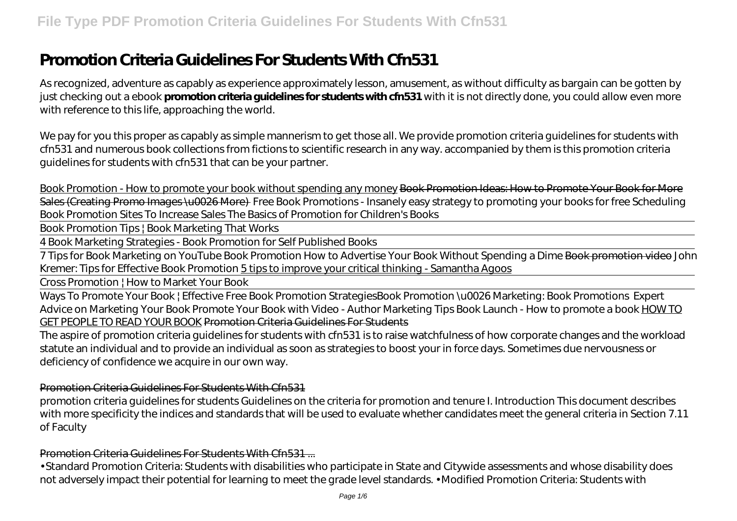# **Promotion Criteria Guidelines For Students With Cfn531**

As recognized, adventure as capably as experience approximately lesson, amusement, as without difficulty as bargain can be gotten by just checking out a ebook **promotion criteria guidelines for students with cfn531** with it is not directly done, you could allow even more with reference to this life, approaching the world.

We pay for you this proper as capably as simple mannerism to get those all. We provide promotion criteria guidelines for students with cfn531 and numerous book collections from fictions to scientific research in any way. accompanied by them is this promotion criteria guidelines for students with cfn531 that can be your partner.

Book Promotion - How to promote your book without spending any money Book Promotion Ideas: How to Promote Your Book for More Sales (Creating Promo Images \u0026 More) Free Book Promotions - Insanely easy strategy to promoting your books for free Scheduling Book Promotion Sites To Increase Sales *The Basics of Promotion for Children's Books*

Book Promotion Tips | Book Marketing That Works

4 Book Marketing Strategies - Book Promotion for Self Published Books

7 Tips for Book Marketing on YouTube Book Promotion How to Advertise Your Book Without Spending a Dime Book promotion video *John Kremer: Tips for Effective Book Promotion* 5 tips to improve your critical thinking - Samantha Agoos

Cross Promotion | How to Market Your Book

Ways To Promote Your Book | Effective Free Book Promotion Strategies*Book Promotion \u0026 Marketing: Book Promotions* Expert Advice on Marketing Your Book Promote Your Book with Video - Author Marketing Tips *Book Launch - How to promote a book* HOW TO GET PEOPLE TO READ YOUR BOOK Promotion Criteria Guidelines For Students

The aspire of promotion criteria guidelines for students with cfn531 is to raise watchfulness of how corporate changes and the workload statute an individual and to provide an individual as soon as strategies to boost your in force days. Sometimes due nervousness or deficiency of confidence we acquire in our own way.

#### Promotion Criteria Guidelines For Students With Cfn531

promotion criteria guidelines for students Guidelines on the criteria for promotion and tenure I. Introduction This document describes with more specificity the indices and standards that will be used to evaluate whether candidates meet the general criteria in Section 7.11 of Faculty

Promotion Criteria Guidelines For Students With Cfn531 ...

• Standard Promotion Criteria: Students with disabilities who participate in State and Citywide assessments and whose disability does not adversely impact their potential for learning to meet the grade level standards. • Modified Promotion Criteria: Students with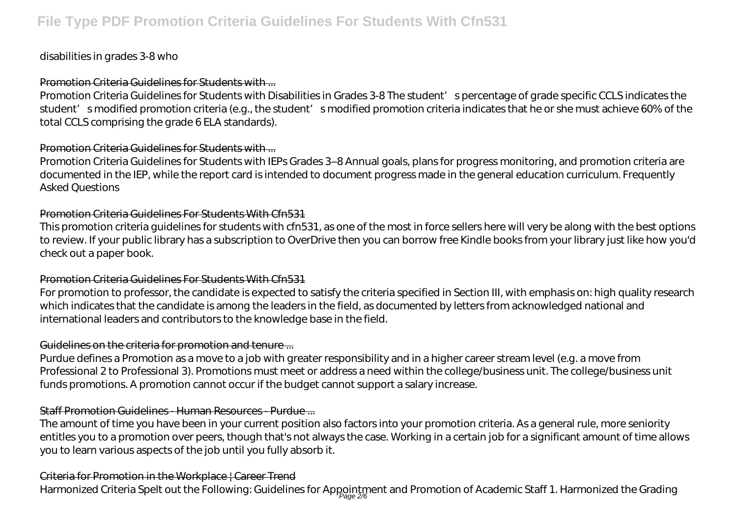# disabilities in grades 3-8 who

#### Promotion Criteria Guidelines for Students with ...

Promotion Criteria Guidelines for Students with Disabilities in Grades 3-8 The student' spercentage of grade specific CCLS indicates the student' smodified promotion criteria (e.g., the student' smodified promotion criteria indicates that he or she must achieve 60% of the total CCLS comprising the grade 6 ELA standards).

# Promotion Criteria Guidelines for Students with ...

Promotion Criteria Guidelines for Students with IEPs Grades 3–8 Annual goals, plans for progress monitoring, and promotion criteria are documented in the IEP, while the report card is intended to document progress made in the general education curriculum. Frequently Asked Questions

# Promotion Criteria Guidelines For Students With Cfn531

This promotion criteria guidelines for students with cfn531, as one of the most in force sellers here will very be along with the best options to review. If your public library has a subscription to OverDrive then you can borrow free Kindle books from your library just like how you'd check out a paper book.

#### Promotion Criteria Guidelines For Students With Cfn531

For promotion to professor, the candidate is expected to satisfy the criteria specified in Section III, with emphasis on: high quality research which indicates that the candidate is among the leaders in the field, as documented by letters from acknowledged national and international leaders and contributors to the knowledge base in the field.

# Guidelines on the criteria for promotion and tenure ...

Purdue defines a Promotion as a move to a job with greater responsibility and in a higher career stream level (e.g. a move from Professional 2 to Professional 3). Promotions must meet or address a need within the college/business unit. The college/business unit funds promotions. A promotion cannot occur if the budget cannot support a salary increase.

# Staff Promotion Guidelines - Human Resources - Purdue ...

The amount of time you have been in your current position also factors into your promotion criteria. As a general rule, more seniority entitles you to a promotion over peers, though that's not always the case. Working in a certain job for a significant amount of time allows you to learn various aspects of the job until you fully absorb it.

# Criteria for Promotion in the Workplace | Career Trend

Harmonized Criteria Spelt out the Following: Guidelines for Appointment and Promotion of Academic Staff 1. Harmonized the Grading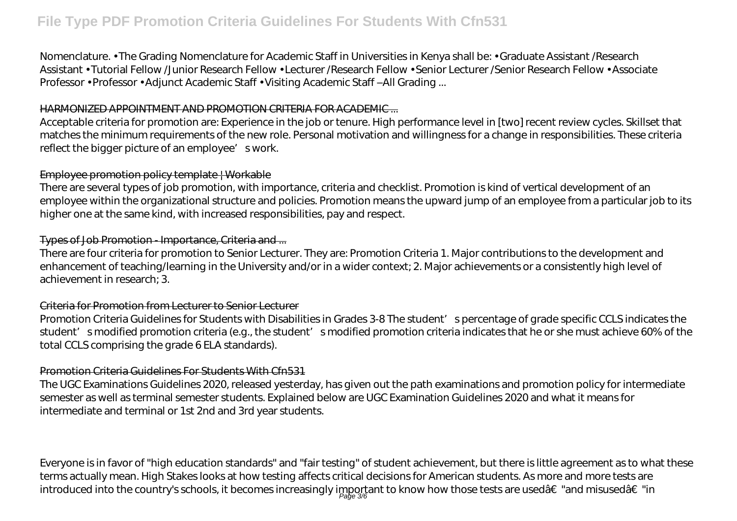# **File Type PDF Promotion Criteria Guidelines For Students With Cfn531**

Nomenclature. • The Grading Nomenclature for Academic Staff in Universities in Kenya shall be: • Graduate Assistant /Research Assistant • Tutorial Fellow /Junior Research Fellow • Lecturer /Research Fellow • Senior Lecturer /Senior Research Fellow • Associate Professor • Professor • Adjunct Academic Staff • Visiting Academic Staff –All Grading ...

#### HARMONIZED APPOINTMENT AND PROMOTION CRITERIA FOR ACADEMIC ...

Acceptable criteria for promotion are: Experience in the job or tenure. High performance level in [two] recent review cycles. Skillset that matches the minimum requirements of the new role. Personal motivation and willingness for a change in responsibilities. These criteria reflect the bigger picture of an employee' swork.

#### Employee promotion policy template | Workable

There are several types of job promotion, with importance, criteria and checklist. Promotion is kind of vertical development of an employee within the organizational structure and policies. Promotion means the upward jump of an employee from a particular job to its higher one at the same kind, with increased responsibilities, pay and respect.

#### Types of Job Promotion - Importance, Criteria and ...

There are four criteria for promotion to Senior Lecturer. They are: Promotion Criteria 1. Major contributions to the development and enhancement of teaching/learning in the University and/or in a wider context; 2. Major achievements or a consistently high level of achievement in research; 3.

#### Criteria for Promotion from Lecturer to Senior Lecturer

Promotion Criteria Guidelines for Students with Disabilities in Grades 3-8 The student' spercentage of grade specific CCLS indicates the student' smodified promotion criteria (e.g., the student' smodified promotion criteria indicates that he or she must achieve 60% of the total CCLS comprising the grade 6 ELA standards).

#### Promotion Criteria Guidelines For Students With Cfn531

The UGC Examinations Guidelines 2020, released yesterday, has given out the path examinations and promotion policy for intermediate semester as well as terminal semester students. Explained below are UGC Examination Guidelines 2020 and what it means for intermediate and terminal or 1st 2nd and 3rd year students.

Everyone is in favor of "high education standards" and "fair testing" of student achievement, but there is little agreement as to what these terms actually mean. High Stakes looks at how testing affects critical decisions for American students. As more and more tests are introduced into the country's schools, it becomes increasingly important to know how those tests are used†"and misused†"in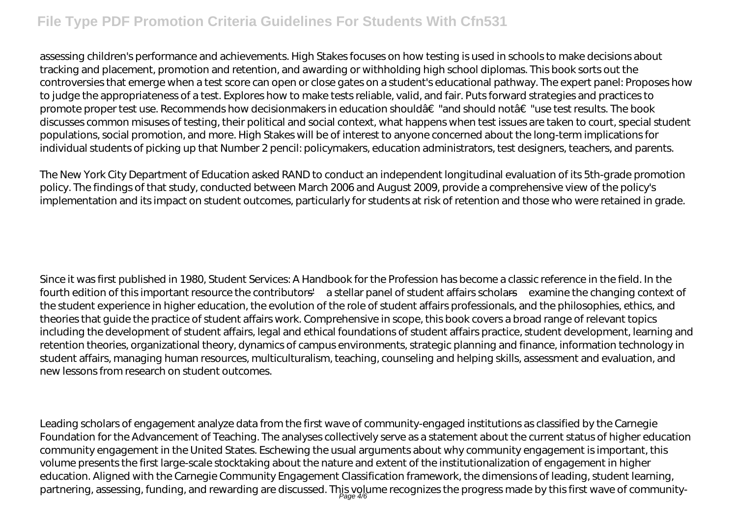# **File Type PDF Promotion Criteria Guidelines For Students With Cfn531**

assessing children's performance and achievements. High Stakes focuses on how testing is used in schools to make decisions about tracking and placement, promotion and retention, and awarding or withholding high school diplomas. This book sorts out the controversies that emerge when a test score can open or close gates on a student's educational pathway. The expert panel: Proposes how to judge the appropriateness of a test. Explores how to make tests reliable, valid, and fair. Puts forward strategies and practices to promote proper test use. Recommends how decisionmakers in education should†"and should not†"use test results. The book discusses common misuses of testing, their political and social context, what happens when test issues are taken to court, special student populations, social promotion, and more. High Stakes will be of interest to anyone concerned about the long-term implications for individual students of picking up that Number 2 pencil: policymakers, education administrators, test designers, teachers, and parents.

The New York City Department of Education asked RAND to conduct an independent longitudinal evaluation of its 5th-grade promotion policy. The findings of that study, conducted between March 2006 and August 2009, provide a comprehensive view of the policy's implementation and its impact on student outcomes, particularly for students at risk of retention and those who were retained in grade.

Since it was first published in 1980, Student Services: A Handbook for the Profession has become a classic reference in the field. In the fourth edition of this important resource the contributors'—a stellar panel of student affairs scholars—examine the changing context of the student experience in higher education, the evolution of the role of student affairs professionals, and the philosophies, ethics, and theories that guide the practice of student affairs work. Comprehensive in scope, this book covers a broad range of relevant topics including the development of student affairs, legal and ethical foundations of student affairs practice, student development, learning and retention theories, organizational theory, dynamics of campus environments, strategic planning and finance, information technology in student affairs, managing human resources, multiculturalism, teaching, counseling and helping skills, assessment and evaluation, and new lessons from research on student outcomes.

Leading scholars of engagement analyze data from the first wave of community-engaged institutions as classified by the Carnegie Foundation for the Advancement of Teaching. The analyses collectively serve as a statement about the current status of higher education community engagement in the United States. Eschewing the usual arguments about why community engagement is important, this volume presents the first large-scale stocktaking about the nature and extent of the institutionalization of engagement in higher education. Aligned with the Carnegie Community Engagement Classification framework, the dimensions of leading, student learning, partnering, assessing, funding, and rewarding are discussed. This volume recognizes the progress made by this first wave of community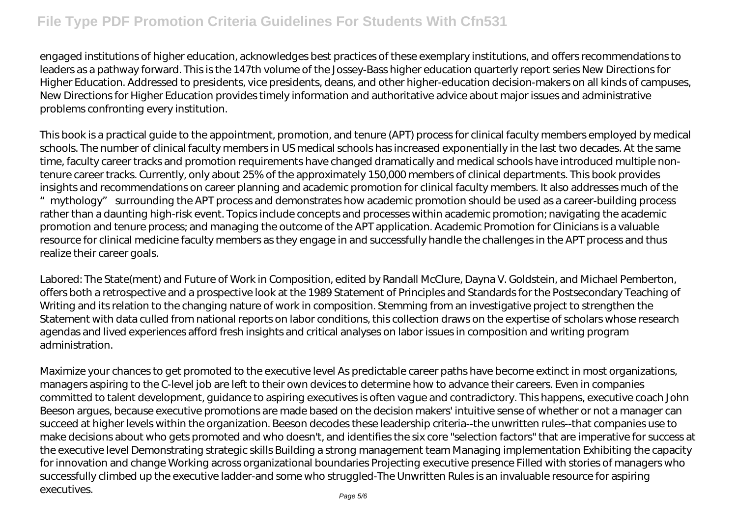engaged institutions of higher education, acknowledges best practices of these exemplary institutions, and offers recommendations to leaders as a pathway forward. This is the 147th volume of the Jossey-Bass higher education quarterly report series New Directions for Higher Education. Addressed to presidents, vice presidents, deans, and other higher-education decision-makers on all kinds of campuses, New Directions for Higher Education provides timely information and authoritative advice about major issues and administrative problems confronting every institution.

This book is a practical guide to the appointment, promotion, and tenure (APT) process for clinical faculty members employed by medical schools. The number of clinical faculty members in US medical schools has increased exponentially in the last two decades. At the same time, faculty career tracks and promotion requirements have changed dramatically and medical schools have introduced multiple nontenure career tracks. Currently, only about 25% of the approximately 150,000 members of clinical departments. This book provides insights and recommendations on career planning and academic promotion for clinical faculty members. It also addresses much of the "mythology" surrounding the APT process and demonstrates how academic promotion should be used as a career-building process rather than a daunting high-risk event. Topics include concepts and processes within academic promotion; navigating the academic promotion and tenure process; and managing the outcome of the APT application. Academic Promotion for Clinicians is a valuable resource for clinical medicine faculty members as they engage in and successfully handle the challenges in the APT process and thus realize their career goals.

Labored: The State(ment) and Future of Work in Composition, edited by Randall McClure, Dayna V. Goldstein, and Michael Pemberton, offers both a retrospective and a prospective look at the 1989 Statement of Principles and Standards for the Postsecondary Teaching of Writing and its relation to the changing nature of work in composition. Stemming from an investigative project to strengthen the Statement with data culled from national reports on labor conditions, this collection draws on the expertise of scholars whose research agendas and lived experiences afford fresh insights and critical analyses on labor issues in composition and writing program administration.

Maximize your chances to get promoted to the executive level As predictable career paths have become extinct in most organizations, managers aspiring to the C-level job are left to their own devices to determine how to advance their careers. Even in companies committed to talent development, guidance to aspiring executives is often vague and contradictory. This happens, executive coach John Beeson argues, because executive promotions are made based on the decision makers' intuitive sense of whether or not a manager can succeed at higher levels within the organization. Beeson decodes these leadership criteria--the unwritten rules--that companies use to make decisions about who gets promoted and who doesn't, and identifies the six core "selection factors" that are imperative for success at the executive level Demonstrating strategic skills Building a strong management team Managing implementation Exhibiting the capacity for innovation and change Working across organizational boundaries Projecting executive presence Filled with stories of managers who successfully climbed up the executive ladder-and some who struggled-The Unwritten Rules is an invaluable resource for aspiring executives.